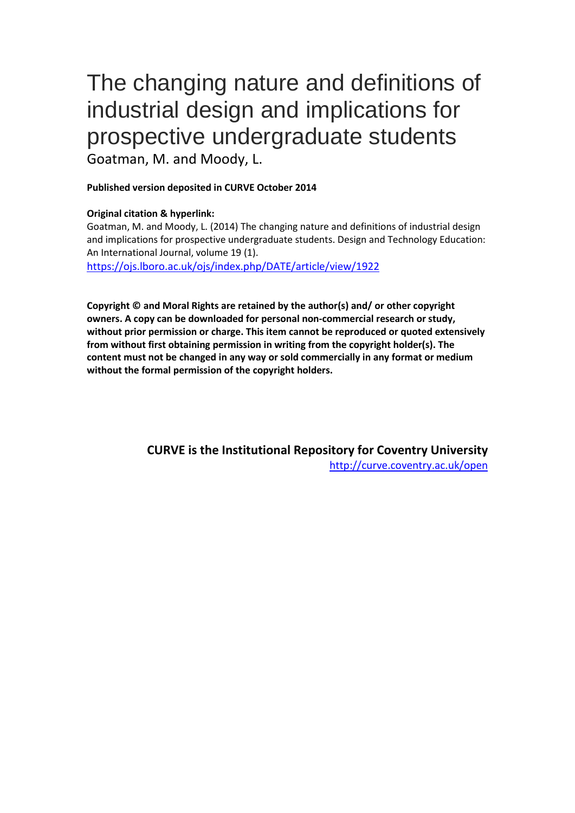# The changing nature and definitions of industrial design and implications for prospective undergraduate students Goatman, M. and Moody, L.

# **Published version deposited in CURVE October 2014**

# **Original citation & hyperlink:**

Goatman, M. and Moody, L. (2014) The changing nature and definitions of industrial design and implications for prospective undergraduate students. Design and Technology Education: An International Journal, volume 19 (1).

<https://ojs.lboro.ac.uk/ojs/index.php/DATE/article/view/1922>

**Copyright © and Moral Rights are retained by the author(s) and/ or other copyright owners. A copy can be downloaded for personal non-commercial research or study, without prior permission or charge. This item cannot be reproduced or quoted extensively from without first obtaining permission in writing from the copyright holder(s). The content must not be changed in any way or sold commercially in any format or medium without the formal permission of the copyright holders.** 

> **CURVE is the Institutional Repository for Coventry University** <http://curve.coventry.ac.uk/open>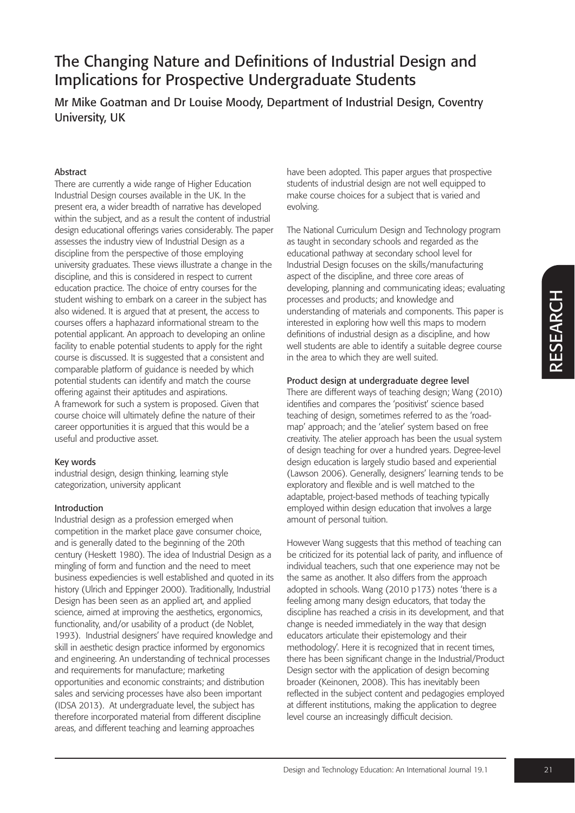Mr Mike Goatman and Dr Louise Moody, Department of Industrial Design, Coventry University, UK

### Abstract

There are currently a wide range of Higher Education Industrial Design courses available in the UK. In the present era, a wider breadth of narrative has developed within the subject, and as a result the content of industrial design educational offerings varies considerably. The paper assesses the industry view of Industrial Design as a discipline from the perspective of those employing university graduates. These views illustrate a change in the discipline, and this is considered in respect to current education practice. The choice of entry courses for the student wishing to embark on a career in the subject has also widened. It is argued that at present, the access to courses offers a haphazard informational stream to the potential applicant. An approach to developing an online facility to enable potential students to apply for the right course is discussed. It is suggested that a consistent and comparable platform of guidance is needed by which potential students can identify and match the course offering against their aptitudes and aspirations. A framework for such a system is proposed. Given that course choice will ultimately define the nature of their career opportunities it is argued that this would be a useful and productive asset.

### Key words

industrial design, design thinking, learning style categorization, university applicant

### Introduction

Industrial design as a profession emerged when competition in the market place gave consumer choice, and is generally dated to the beginning of the 20th century (Heskett 1980). The idea of Industrial Design as a mingling of form and function and the need to meet business expediencies is well established and quoted in its history (Ulrich and Eppinger 2000). Traditionally, Industrial Design has been seen as an applied art, and applied science, aimed at improving the aesthetics, ergonomics, functionality, and/or usability of a product (de Noblet, 1993). Industrial designers' have required knowledge and skill in aesthetic design practice informed by ergonomics and engineering. An understanding of technical processes and requirements for manufacture; marketing opportunities and economic constraints; and distribution sales and servicing processes have also been important (IDSA 2013). At undergraduate level, the subject has therefore incorporated material from different discipline areas, and different teaching and learning approaches

have been adopted. This paper argues that prospective students of industrial design are not well equipped to make course choices for a subject that is varied and evolving.

The National Curriculum Design and Technology program as taught in secondary schools and regarded as the educational pathway at secondary school level for Industrial Design focuses on the skills/manufacturing aspect of the discipline, and three core areas of developing, planning and communicating ideas; evaluating processes and products; and knowledge and understanding of materials and components. This paper is interested in exploring how well this maps to modern definitions of industrial design as a discipline, and how well students are able to identify a suitable degree course in the area to which they are well suited.

#### Product design at undergraduate degree level

There are different ways of teaching design; Wang (2010) identifies and compares the 'positivist' science based teaching of design, sometimes referred to as the 'roadmap' approach; and the 'atelier' system based on free creativity. The atelier approach has been the usual system of design teaching for over a hundred years. Degree-level design education is largely studio based and experiential (Lawson 2006). Generally, designers' learning tends to be exploratory and flexible and is well matched to the adaptable, project-based methods of teaching typically employed within design education that involves a large amount of personal tuition.

However Wang suggests that this method of teaching can be criticized for its potential lack of parity, and influence of individual teachers, such that one experience may not be the same as another. It also differs from the approach adopted in schools. Wang (2010 p173) notes 'there is a feeling among many design educators, that today the discipline has reached a crisis in its development, and that change is needed immediately in the way that design educators articulate their epistemology and their methodology'. Here it is recognized that in recent times, there has been significant change in the Industrial/Product Design sector with the application of design becoming broader (Keinonen, 2008). This has inevitably been reflected in the subject content and pedagogies employed at different institutions, making the application to degree level course an increasingly difficult decision.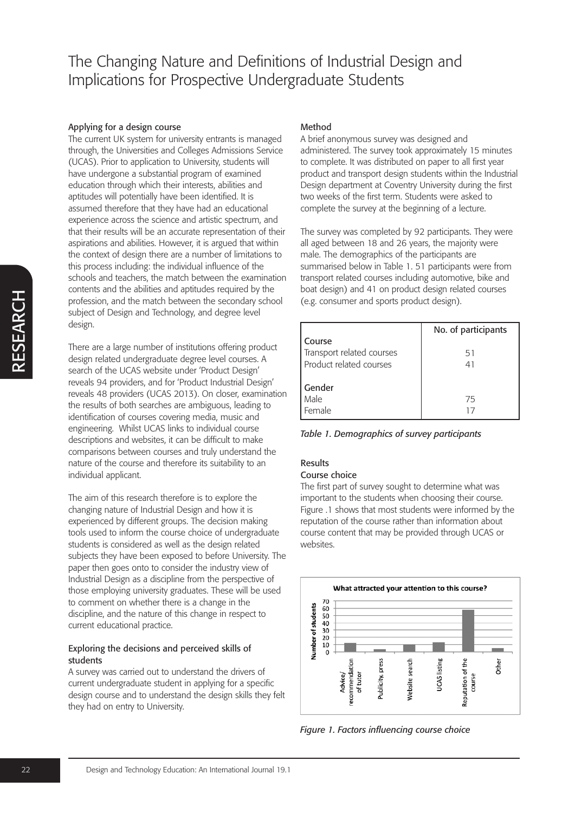#### Applying for a design course

The current UK system for university entrants is managed through, the Universities and Colleges Admissions Service (UCAS). Prior to application to University, students will have undergone a substantial program of examined education through which their interests, abilities and aptitudes will potentially have been identified. It is assumed therefore that they have had an educational experience across the science and artistic spectrum, and that their results will be an accurate representation of their aspirations and abilities. However, it is argued that within the context of design there are a number of limitations to this process including: the individual influence of the schools and teachers, the match between the examination contents and the abilities and aptitudes required by the profession, and the match between the secondary school subject of Design and Technology, and degree level design.

There are a large number of institutions offering product design related undergraduate degree level courses. A search of the UCAS website under 'Product Design' reveals 94 providers, and for 'Product Industrial Design' reveals 48 providers (UCAS 2013). On closer, examination the results of both searches are ambiguous, leading to identification of courses covering media, music and engineering. Whilst UCAS links to individual course descriptions and websites, it can be difficult to make comparisons between courses and truly understand the nature of the course and therefore its suitability to an individual applicant.

The aim of this research therefore is to explore the changing nature of Industrial Design and how it is experienced by different groups. The decision making tools used to inform the course choice of undergraduate students is considered as well as the design related subjects they have been exposed to before University. The paper then goes onto to consider the industry view of Industrial Design as a discipline from the perspective of those employing university graduates. These will be used to comment on whether there is a change in the discipline, and the nature of this change in respect to current educational practice.

#### Exploring the decisions and perceived skills of students

A survey was carried out to understand the drivers of current undergraduate student in applying for a specific design course and to understand the design skills they felt they had on entry to University.

## Method

A brief anonymous survey was designed and administered. The survey took approximately 15 minutes to complete. It was distributed on paper to all first year product and transport design students within the Industrial Design department at Coventry University during the first two weeks of the first term. Students were asked to complete the survey at the beginning of a lecture.

The survey was completed by 92 participants. They were all aged between 18 and 26 years, the majority were male. The demographics of the participants are summarised below in Table 1. 51 participants were from transport related courses including automotive, bike and boat design) and 41 on product design related courses (e.g. consumer and sports product design).

|                           | No. of participants |
|---------------------------|---------------------|
| Course                    |                     |
| Transport related courses | 51                  |
| Product related courses   | 41                  |
|                           |                     |
| Gender                    |                     |
| Male                      | 75                  |
| Female                    |                     |

*Table 1. Demographics of survey participants*

# Results

#### Course choice

The first part of survey sought to determine what was important to the students when choosing their course. Figure .1 shows that most students were informed by the reputation of the course rather than information about course content that may be provided through UCAS or websites.



*Figure 1. Factors influencing course choice*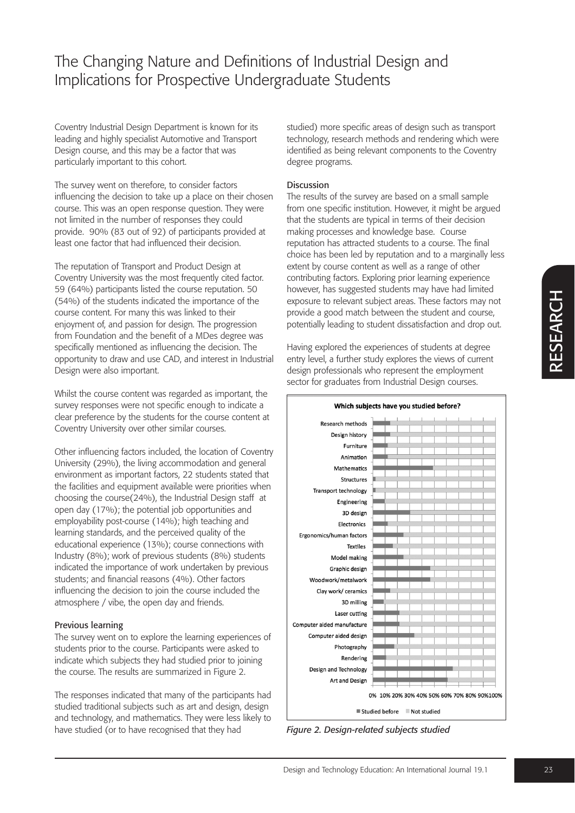Coventry Industrial Design Department is known for its leading and highly specialist Automotive and Transport Design course, and this may be a factor that was particularly important to this cohort.

The survey went on therefore, to consider factors influencing the decision to take up a place on their chosen course. This was an open response question. They were not limited in the number of responses they could provide. 90% (83 out of 92) of participants provided at least one factor that had influenced their decision.

The reputation of Transport and Product Design at Coventry University was the most frequently cited factor. 59 (64%) participants listed the course reputation. 50 (54%) of the students indicated the importance of the course content. For many this was linked to their enjoyment of, and passion for design. The progression from Foundation and the benefit of a MDes degree was specifically mentioned as influencing the decision. The opportunity to draw and use CAD, and interest in Industrial Design were also important.

Whilst the course content was regarded as important, the survey responses were not specific enough to indicate a clear preference by the students for the course content at Coventry University over other similar courses.

Other influencing factors included, the location of Coventry University (29%), the living accommodation and general environment as important factors, 22 students stated that the facilities and equipment available were priorities when choosing the course(24%), the Industrial Design staff at open day (17%); the potential job opportunities and employability post-course (14%); high teaching and learning standards, and the perceived quality of the educational experience (13%); course connections with Industry (8%); work of previous students (8%) students indicated the importance of work undertaken by previous students; and financial reasons (4%). Other factors influencing the decision to join the course included the atmosphere / vibe, the open day and friends.

### Previous learning

The survey went on to explore the learning experiences of students prior to the course. Participants were asked to indicate which subjects they had studied prior to joining the course. The results are summarized in Figure 2.

The responses indicated that many of the participants had studied traditional subjects such as art and design, design and technology, and mathematics. They were less likely to have studied (or to have recognised that they had

studied) more specific areas of design such as transport technology, research methods and rendering which were identified as being relevant components to the Coventry degree programs.

### Discussion

The results of the survey are based on a small sample from one specific institution. However, it might be argued that the students are typical in terms of their decision making processes and knowledge base. Course reputation has attracted students to a course. The final choice has been led by reputation and to a marginally less extent by course content as well as a range of other contributing factors. Exploring prior learning experience however, has suggested students may have had limited exposure to relevant subject areas. These factors may not provide a good match between the student and course, potentially leading to student dissatisfaction and drop out.

Having explored the experiences of students at degree entry level, a further study explores the views of current design professionals who represent the employment sector for graduates from Industrial Design courses.



*Figure 2. Design-related subjects studied*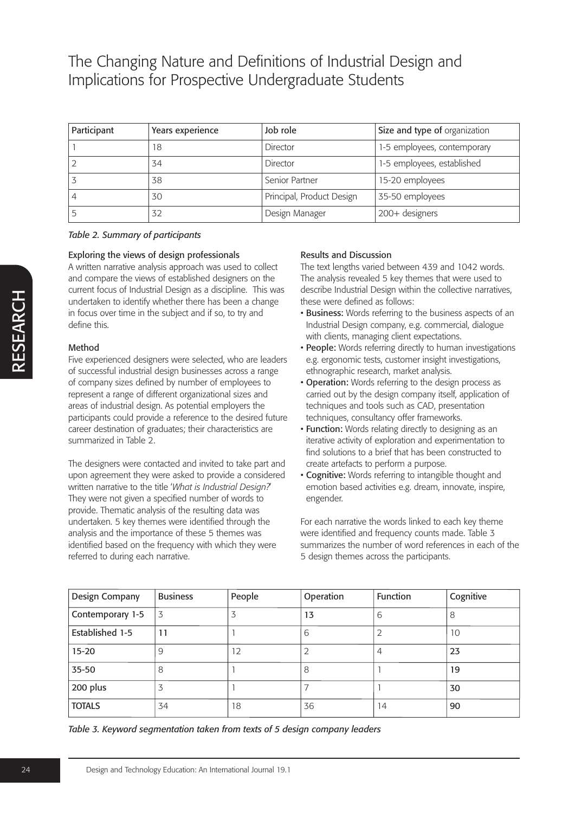| Participant | Years experience | Job role                  | Size and type of organization |
|-------------|------------------|---------------------------|-------------------------------|
|             | 18               | Director                  | 1-5 employees, contemporary   |
|             | 34               | Director                  | 1-5 employees, established    |
|             | 38               | Senior Partner            | 15-20 employees               |
|             | 30               | Principal, Product Design | 35-50 employees               |
|             | 32               | Design Manager            | 200+ designers                |

#### *Table 2. Summary of participants*

#### Exploring the views of design professionals

A written narrative analysis approach was used to collect and compare the views of established designers on the current focus of Industrial Design as a discipline. This was undertaken to identify whether there has been a change in focus over time in the subject and if so, to try and define this.

### Method

Five experienced designers were selected, who are leaders of successful industrial design businesses across a range of company sizes defined by number of employees to represent a range of different organizational sizes and areas of industrial design. As potential employers the participants could provide a reference to the desired future career destination of graduates; their characteristics are summarized in Table 2.

The designers were contacted and invited to take part and upon agreement they were asked to provide a considered written narrative to the title '*What is Industrial Design?*' They were not given a specified number of words to provide. Thematic analysis of the resulting data was undertaken. 5 key themes were identified through the analysis and the importance of these 5 themes was identified based on the frequency with which they were referred to during each narrative.

#### Results and Discussion

The text lengths varied between 439 and 1042 words. The analysis revealed 5 key themes that were used to describe Industrial Design within the collective narratives, these were defined as follows:

- Business: Words referring to the business aspects of an Industrial Design company, e.g. commercial, dialogue with clients, managing client expectations.
- People: Words referring directly to human investigations e.g. ergonomic tests, customer insight investigations, ethnographic research, market analysis.
- Operation: Words referring to the design process as carried out by the design company itself, application of techniques and tools such as CAD, presentation techniques, consultancy offer frameworks.
- Function: Words relating directly to designing as an iterative activity of exploration and experimentation to find solutions to a brief that has been constructed to create artefacts to perform a purpose.
- Cognitive: Words referring to intangible thought and emotion based activities e.g. dream, innovate, inspire, engender.

For each narrative the words linked to each key theme were identified and frequency counts made. Table 3 summarizes the number of word references in each of the 5 design themes across the participants.

| Design Company   | <b>Business</b> | People | Operation | <b>Function</b> | Cognitive |
|------------------|-----------------|--------|-----------|-----------------|-----------|
| Contemporary 1-5 | 3               |        | 13        | 6               | 8         |
| Established 1-5  | 11              |        | 6         | ∠               | 10        |
| $15 - 20$        | 9               | 12     |           | 4               | 23        |
| $35 - 50$        | 8               |        | 8         |                 | 19        |
| 200 plus         | 3               |        |           |                 | 30        |
| <b>TOTALS</b>    | 34              | 18     | 36        | 14              | 90        |

*Table 3. Keyword segmentation taken from texts of 5 design company leaders*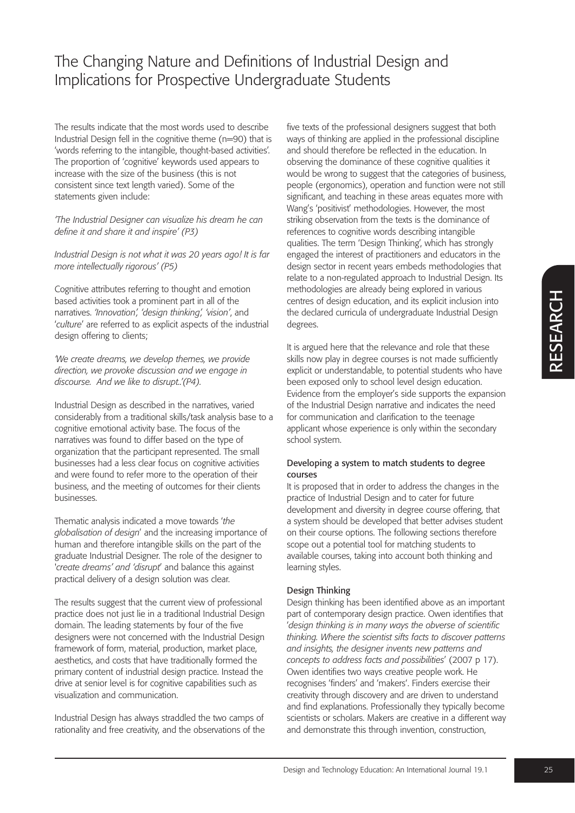The results indicate that the most words used to describe Industrial Design fell in the cognitive theme (n=90) that is 'words referring to the intangible, thought-based activities'. The proportion of 'cognitive' keywords used appears to increase with the size of the business (this is not consistent since text length varied). Some of the statements given include:

*'The Industrial Designer can visualize his dream he can define it and share it and inspire' (P3)*

*Industrial Design is not what it was 20 years ago! It is far more intellectually rigorous' (P5)*

Cognitive attributes referring to thought and emotion based activities took a prominent part in all of the narratives. *'Innovation', 'design thinking', 'vision'*, and '*culture*' are referred to as explicit aspects of the industrial design offering to clients;

*'We create dreams, we develop themes, we provide direction, we provoke discussion and we engage in discourse. And we like to disrupt..'(P4).*

Industrial Design as described in the narratives, varied considerably from a traditional skills/task analysis base to a cognitive emotional activity base. The focus of the narratives was found to differ based on the type of organization that the participant represented. The small businesses had a less clear focus on cognitive activities and were found to refer more to the operation of their business, and the meeting of outcomes for their clients businesses.

Thematic analysis indicated a move towards '*the globalisation of design*' and the increasing importance of human and therefore intangible skills on the part of the graduate Industrial Designer. The role of the designer to '*create dreams' and 'disrupt*' and balance this against practical delivery of a design solution was clear.

The results suggest that the current view of professional practice does not just lie in a traditional Industrial Design domain. The leading statements by four of the five designers were not concerned with the Industrial Design framework of form, material, production, market place, aesthetics, and costs that have traditionally formed the primary content of industrial design practice. Instead the drive at senior level is for cognitive capabilities such as visualization and communication.

Industrial Design has always straddled the two camps of rationality and free creativity, and the observations of the

five texts of the professional designers suggest that both ways of thinking are applied in the professional discipline and should therefore be reflected in the education. In observing the dominance of these cognitive qualities it would be wrong to suggest that the categories of business, people (ergonomics), operation and function were not still significant, and teaching in these areas equates more with Wang's 'positivist' methodologies. However, the most striking observation from the texts is the dominance of references to cognitive words describing intangible qualities. The term 'Design Thinking', which has strongly engaged the interest of practitioners and educators in the design sector in recent years embeds methodologies that relate to a non-regulated approach to Industrial Design. Its methodologies are already being explored in various centres of design education, and its explicit inclusion into the declared curricula of undergraduate Industrial Design degrees.

It is argued here that the relevance and role that these skills now play in degree courses is not made sufficiently explicit or understandable, to potential students who have been exposed only to school level design education. Evidence from the employer's side supports the expansion of the Industrial Design narrative and indicates the need for communication and clarification to the teenage applicant whose experience is only within the secondary school system.

#### Developing a system to match students to degree courses

It is proposed that in order to address the changes in the practice of Industrial Design and to cater for future development and diversity in degree course offering, that a system should be developed that better advises student on their course options. The following sections therefore scope out a potential tool for matching students to available courses, taking into account both thinking and learning styles.

### Design Thinking

Design thinking has been identified above as an important part of contemporary design practice. Owen identifies that '*design thinking is in many ways the obverse of scientific thinking. Where the scientist sifts facts to discover patterns and insights, the designer invents new patterns and concepts to address facts and possibilities*' (2007 p 17). Owen identifies two ways creative people work. He recognises 'finders' and 'makers'. Finders exercise their creativity through discovery and are driven to understand and find explanations. Professionally they typically become scientists or scholars. Makers are creative in a different way and demonstrate this through invention, construction,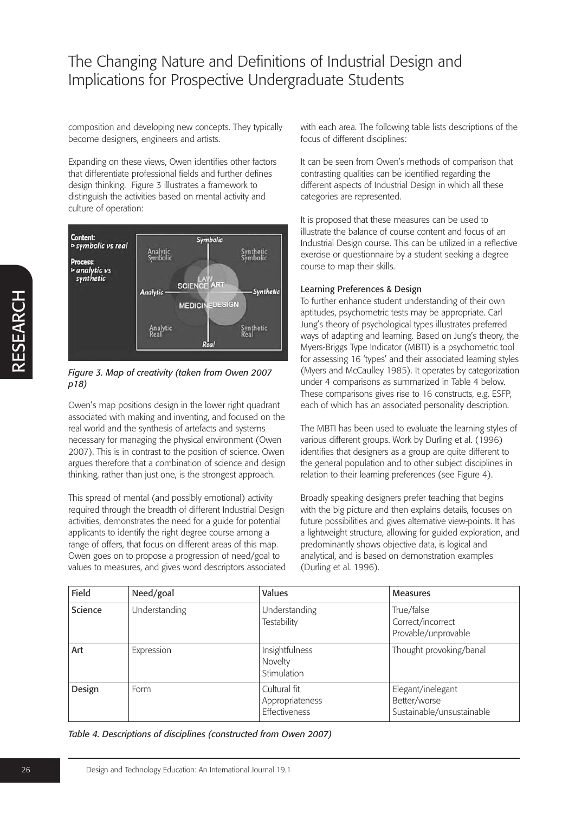composition and developing new concepts. They typically become designers, engineers and artists.

Expanding on these views, Owen identifies other factors that differentiate professional fields and further defines design thinking. Figure 3 illustrates a framework to distinguish the activities based on mental activity and culture of operation:



### *Figure 3. Map of creativity (taken from Owen 2007 p18)*

Owen's map positions design in the lower right quadrant associated with making and inventing, and focused on the real world and the synthesis of artefacts and systems necessary for managing the physical environment (Owen 2007). This is in contrast to the position of science. Owen argues therefore that a combination of science and design thinking, rather than just one, is the strongest approach.

This spread of mental (and possibly emotional) activity required through the breadth of different Industrial Design activities, demonstrates the need for a guide for potential applicants to identify the right degree course among a range of offers, that focus on different areas of this map. Owen goes on to propose a progression of need/goal to values to measures, and gives word descriptors associated with each area. The following table lists descriptions of the focus of different disciplines:

It can be seen from Owen's methods of comparison that contrasting qualities can be identified regarding the different aspects of Industrial Design in which all these categories are represented.

It is proposed that these measures can be used to illustrate the balance of course content and focus of an Industrial Design course. This can be utilized in a reflective exercise or questionnaire by a student seeking a degree course to map their skills.

### Learning Preferences & Design

To further enhance student understanding of their own aptitudes, psychometric tests may be appropriate. Carl Jung's theory of psychological types illustrates preferred ways of adapting and learning. Based on Jung's theory, the Myers-Briggs Type Indicator (MBTI) is a psychometric tool for assessing 16 'types' and their associated learning styles (Myers and McCaulley 1985). It operates by categorization under 4 comparisons as summarized in Table 4 below. These comparisons gives rise to 16 constructs, e.g. ESFP, each of which has an associated personality description.

The MBTI has been used to evaluate the learning styles of various different groups. Work by Durling et al. (1996) identifies that designers as a group are quite different to the general population and to other subject disciplines in relation to their learning preferences (see Figure 4).

Broadly speaking designers prefer teaching that begins with the big picture and then explains details, focuses on future possibilities and gives alternative view-points. It has a lightweight structure, allowing for guided exploration, and predominantly shows objective data, is logical and analytical, and is based on demonstration examples (Durling et al. 1996).

| Field   | Need/goal     | Values                                           | <b>Measures</b>                                                |
|---------|---------------|--------------------------------------------------|----------------------------------------------------------------|
| Science | Understanding | Understanding<br><b>Testability</b>              | True/false<br>Correct/incorrect<br>Provable/unprovable         |
| Art     | Expression    | Insightfulness<br>Novelty<br>Stimulation         | Thought provoking/banal                                        |
| Design  | Form          | Cultural fit<br>Appropriateness<br>Effectiveness | Elegant/inelegant<br>Better/worse<br>Sustainable/unsustainable |

*Table 4. Descriptions of disciplines (constructed from Owen 2007)*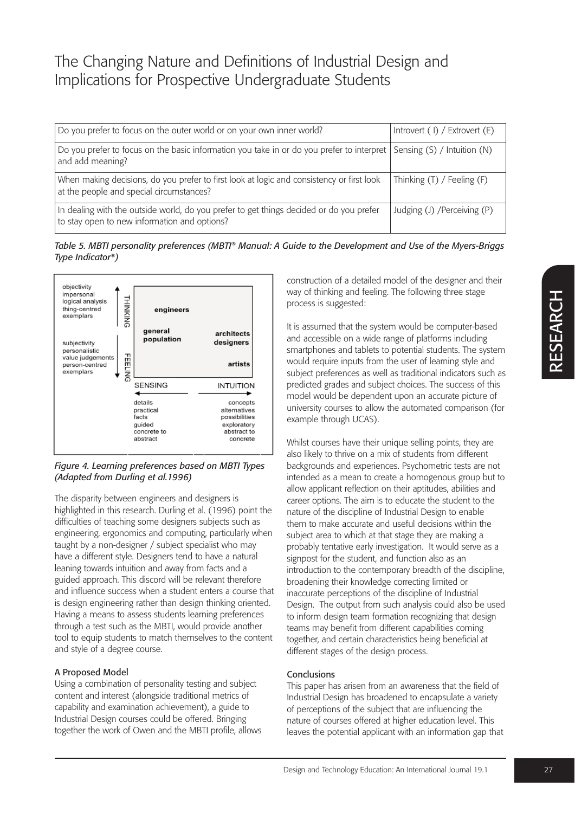| Do you prefer to focus on the outer world or on your own inner world?                                                                   | Introvert $(1)$ / Extrovert $(E)$ |
|-----------------------------------------------------------------------------------------------------------------------------------------|-----------------------------------|
| Do you prefer to focus on the basic information you take in or do you prefer to interpret<br>and add meaning?                           | Sensing $(S)$ / Intuition $(N)$   |
| When making decisions, do you prefer to first look at logic and consistency or first look<br>at the people and special circumstances?   | Thinking $(T)$ / Feeling $(F)$    |
| In dealing with the outside world, do you prefer to get things decided or do you prefer<br>to stay open to new information and options? | Judging (J) / Perceiving (P)      |

*Table 5. MBTI personality preferences (MBTI® Manual: A Guide to the Development and Use of the Myers-Briggs Type Indicator®)*



*Figure 4. Learning preferences based on MBTI Types (Adapted from Durling et al.1996)*

The disparity between engineers and designers is highlighted in this research. Durling et al. (1996) point the difficulties of teaching some designers subjects such as engineering, ergonomics and computing, particularly when taught by a non-designer / subject specialist who may have a different style. Designers tend to have a natural leaning towards intuition and away from facts and a guided approach. This discord will be relevant therefore and influence success when a student enters a course that is design engineering rather than design thinking oriented. Having a means to assess students learning preferences through a test such as the MBTI, would provide another tool to equip students to match themselves to the content and style of a degree course.

### A Proposed Model

Using a combination of personality testing and subject content and interest (alongside traditional metrics of capability and examination achievement), a guide to Industrial Design courses could be offered. Bringing together the work of Owen and the MBTI profile, allows

construction of a detailed model of the designer and their way of thinking and feeling. The following three stage process is suggested:

It is assumed that the system would be computer-based and accessible on a wide range of platforms including smartphones and tablets to potential students. The system would require inputs from the user of learning style and subject preferences as well as traditional indicators such as predicted grades and subject choices. The success of this model would be dependent upon an accurate picture of university courses to allow the automated comparison (for example through UCAS).

Whilst courses have their unique selling points, they are also likely to thrive on a mix of students from different backgrounds and experiences. Psychometric tests are not intended as a mean to create a homogenous group but to allow applicant reflection on their aptitudes, abilities and career options. The aim is to educate the student to the nature of the discipline of Industrial Design to enable them to make accurate and useful decisions within the subject area to which at that stage they are making a probably tentative early investigation. It would serve as a signpost for the student, and function also as an introduction to the contemporary breadth of the discipline, broadening their knowledge correcting limited or inaccurate perceptions of the discipline of Industrial Design. The output from such analysis could also be used to inform design team formation recognizing that design teams may benefit from different capabilities coming together, and certain characteristics being beneficial at different stages of the design process.

### **Conclusions**

This paper has arisen from an awareness that the field of Industrial Design has broadened to encapsulate a variety of perceptions of the subject that are influencing the nature of courses offered at higher education level. This leaves the potential applicant with an information gap that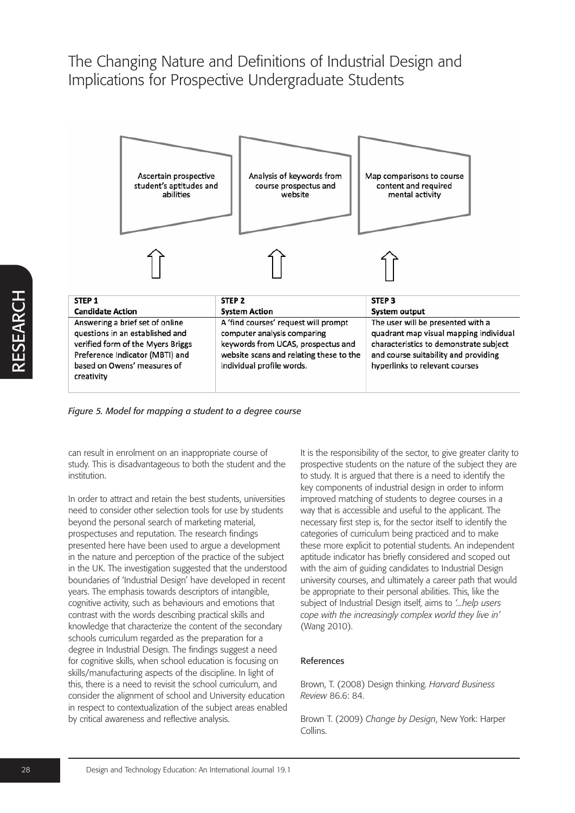| Ascertain prospective<br>student's aptitudes and<br>abilities                                                                                                                                                                                                                                                                                                                | Analysis of keywords from<br>course prospectus and<br>website | Map comparisons to course<br>content and required<br>mental activity                                                                                                                            |  |
|------------------------------------------------------------------------------------------------------------------------------------------------------------------------------------------------------------------------------------------------------------------------------------------------------------------------------------------------------------------------------|---------------------------------------------------------------|-------------------------------------------------------------------------------------------------------------------------------------------------------------------------------------------------|--|
|                                                                                                                                                                                                                                                                                                                                                                              |                                                               |                                                                                                                                                                                                 |  |
| STEP <sub>1</sub>                                                                                                                                                                                                                                                                                                                                                            | STEP <sub>2</sub>                                             | STEP <sub>3</sub>                                                                                                                                                                               |  |
| <b>Candidate Action</b><br><b>System Action</b>                                                                                                                                                                                                                                                                                                                              |                                                               | <b>System output</b>                                                                                                                                                                            |  |
| Answering a brief set of online<br>A 'find courses' request will prompt<br>questions in an established and<br>computer analysis comparing<br>verified form of the Myers Briggs<br>keywords from UCAS, prospectus and<br>website scans and relating these to the<br>Preference Indicator (MBTI) and<br>based on Owens' measures of<br>individual profile words.<br>creativity |                                                               | The user will be presented with a<br>quadrant map visual mapping individual<br>characteristics to demonstrate subject<br>and course suitability and providing<br>hyperlinks to relevant courses |  |

*Figure 5. Model for mapping a student to a degree course*

can result in enrolment on an inappropriate course of study. This is disadvantageous to both the student and the institution.

In order to attract and retain the best students, universities need to consider other selection tools for use by students beyond the personal search of marketing material, prospectuses and reputation. The research findings presented here have been used to argue a development in the nature and perception of the practice of the subject in the UK. The investigation suggested that the understood boundaries of 'Industrial Design' have developed in recent years. The emphasis towards descriptors of intangible, cognitive activity, such as behaviours and emotions that contrast with the words describing practical skills and knowledge that characterize the content of the secondary schools curriculum regarded as the preparation for a degree in Industrial Design. The findings suggest a need for cognitive skills, when school education is focusing on skills/manufacturing aspects of the discipline. In light of this, there is a need to revisit the school curriculum, and consider the alignment of school and University education in respect to contextualization of the subject areas enabled by critical awareness and reflective analysis.

It is the responsibility of the sector, to give greater clarity to prospective students on the nature of the subject they are to study. It is argued that there is a need to identify the key components of industrial design in order to inform improved matching of students to degree courses in a way that is accessible and useful to the applicant. The necessary first step is, for the sector itself to identify the categories of curriculum being practiced and to make these more explicit to potential students. An independent aptitude indicator has briefly considered and scoped out with the aim of guiding candidates to Industrial Design university courses, and ultimately a career path that would be appropriate to their personal abilities. This, like the subject of Industrial Design itself, aims to *'...help users cope with the increasingly complex world they live in'* (Wang 2010).

#### References

Brown, T. (2008) Design thinking. *Harvard Business Review* 86.6: 84.

Brown T. (2009) *Change by Design*, New York: Harper Collins.